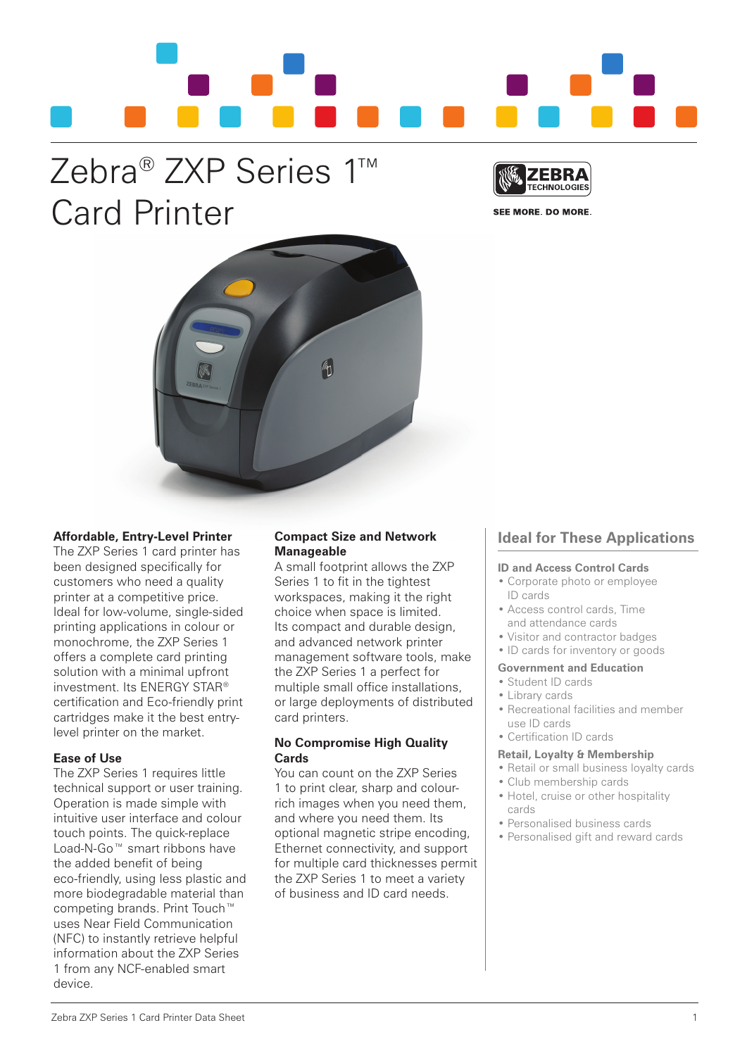

# Zebra® ZXP Series 1™ Card Printer



SEE MORE. DO MORE.



# **Affordable, Entry-Level Printer**

The ZXP Series 1 card printer has been designed specifically for customers who need a quality printer at a competitive price. Ideal for low-volume, single-sided printing applications in colour or monochrome, the ZXP Series 1 offers a complete card printing solution with a minimal upfront investment. Its ENERGY STAR® certification and Eco-friendly print cartridges make it the best entrylevel printer on the market.

# **Ease of Use**

The ZXP Series 1 requires little technical support or user training. Operation is made simple with intuitive user interface and colour touch points. The quick-replace Load-N-Go™ smart ribbons have the added benefit of being eco-friendly, using less plastic and more biodegradable material than competing brands. Print Touch™ uses Near Field Communication (NFC) to instantly retrieve helpful information about the ZXP Series 1 from any NCF-enabled smart device.

# **Compact Size and Network Manageable**

A small footprint allows the ZXP Series 1 to fit in the tightest workspaces, making it the right choice when space is limited. Its compact and durable design. and advanced network printer management software tools, make the ZXP Series 1 a perfect for multiple small office installations. or large deployments of distributed card printers.

# **No Compromise High Quality Cards**

You can count on the ZXP Series 1 to print clear, sharp and colourrich images when you need them, and where you need them. Its optional magnetic stripe encoding, Ethernet connectivity, and support for multiple card thicknesses permit the ZXP Series 1 to meet a variety of business and ID card needs.

# **Ideal for These Applications**

# **ID and Access Control Cards**

- Corporate photo or employee ID cards
- Access control cards, Time and attendance cards
- Visitor and contractor badges
- ID cards for inventory or goods

# **Government and Education**

- Student ID cards
- Library cards
- Recreational facilities and member use ID cards
- Certification ID cards

## **Retail, Loyalty & Membership**

- Retail or small business loyalty cards
- Club membership cards
- Hotel, cruise or other hospitality cards
- Personalised business cards
- Personalised gift and reward cards